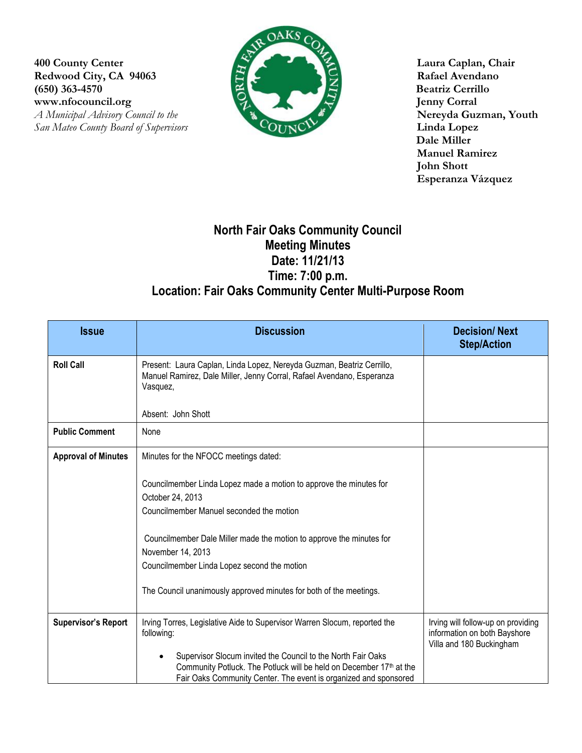**400 County Center Laura Caplan, Chair** Redwood City, CA 94063 **Rafael Avendano (650) 363-4570 Beatriz Cerrillo**

**San Mateo County Board of Supervisors** 



WWW.nfocouncil.org Jenny Corral<br> *A Municipal Advisory Council to the*<br> **A Municipal Advisory Council to the**<br> **A Municipal Advisory Council to the Dale Miller Manuel Ramirez John Shott Esperanza Vázquez**

## **North Fair Oaks Community Council Meeting Minutes Date: 11/21/13 Time: 7:00 p.m. Location: Fair Oaks Community Center Multi-Purpose Room**

| <b>Issue</b>               | <b>Discussion</b>                                                                                                                                                                                                                                                                                                                                    | <b>Decision/Next</b><br><b>Step/Action</b>                                                     |
|----------------------------|------------------------------------------------------------------------------------------------------------------------------------------------------------------------------------------------------------------------------------------------------------------------------------------------------------------------------------------------------|------------------------------------------------------------------------------------------------|
| <b>Roll Call</b>           | Present: Laura Caplan, Linda Lopez, Nereyda Guzman, Beatriz Cerrillo,<br>Manuel Ramirez, Dale Miller, Jenny Corral, Rafael Avendano, Esperanza<br>Vasquez,                                                                                                                                                                                           |                                                                                                |
|                            | Absent: John Shott                                                                                                                                                                                                                                                                                                                                   |                                                                                                |
| <b>Public Comment</b>      | None                                                                                                                                                                                                                                                                                                                                                 |                                                                                                |
| <b>Approval of Minutes</b> | Minutes for the NFOCC meetings dated:                                                                                                                                                                                                                                                                                                                |                                                                                                |
|                            | Councilmember Linda Lopez made a motion to approve the minutes for<br>October 24, 2013<br>Councilmember Manuel seconded the motion<br>Councilmember Dale Miller made the motion to approve the minutes for<br>November 14, 2013<br>Councilmember Linda Lopez second the motion<br>The Council unanimously approved minutes for both of the meetings. |                                                                                                |
| <b>Supervisor's Report</b> | Irving Torres, Legislative Aide to Supervisor Warren Slocum, reported the<br>following:<br>Supervisor Slocum invited the Council to the North Fair Oaks<br>Community Potluck. The Potluck will be held on December 17th at the<br>Fair Oaks Community Center. The event is organized and sponsored                                                   | Irving will follow-up on providing<br>information on both Bayshore<br>Villa and 180 Buckingham |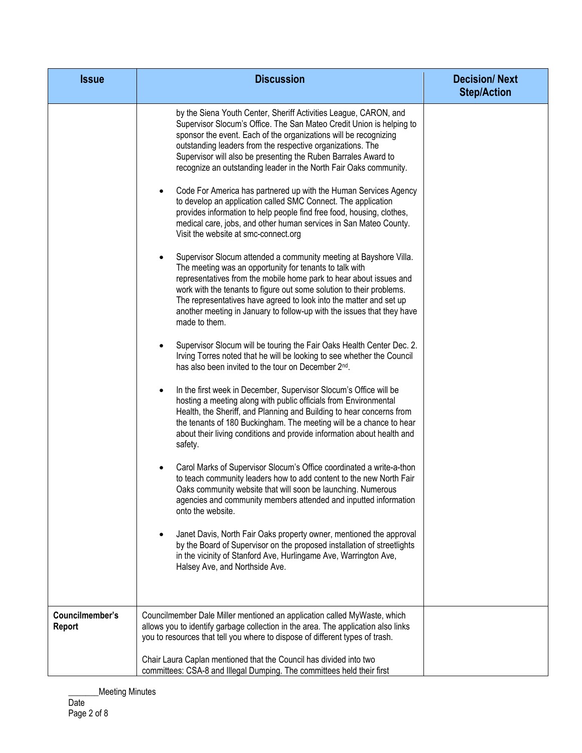| <b>Issue</b>    | <b>Discussion</b>                                                                                                                                                                                                                                                                                                                                                                                                                                                                                                                                                                                                                                                                                                                                                                                                                                                                                                                                                                                                                                                                                                                                                                                                                                                                                                                                                                                                                                                                                                                                                                                                                                                                                                                                                                                                                                                                                                                                                                                                                                                                                                                                                                                                                                                                                                                                                   | <b>Decision/Next</b><br><b>Step/Action</b> |
|-----------------|---------------------------------------------------------------------------------------------------------------------------------------------------------------------------------------------------------------------------------------------------------------------------------------------------------------------------------------------------------------------------------------------------------------------------------------------------------------------------------------------------------------------------------------------------------------------------------------------------------------------------------------------------------------------------------------------------------------------------------------------------------------------------------------------------------------------------------------------------------------------------------------------------------------------------------------------------------------------------------------------------------------------------------------------------------------------------------------------------------------------------------------------------------------------------------------------------------------------------------------------------------------------------------------------------------------------------------------------------------------------------------------------------------------------------------------------------------------------------------------------------------------------------------------------------------------------------------------------------------------------------------------------------------------------------------------------------------------------------------------------------------------------------------------------------------------------------------------------------------------------------------------------------------------------------------------------------------------------------------------------------------------------------------------------------------------------------------------------------------------------------------------------------------------------------------------------------------------------------------------------------------------------------------------------------------------------------------------------------------------------|--------------------------------------------|
|                 | by the Siena Youth Center, Sheriff Activities League, CARON, and<br>Supervisor Slocum's Office. The San Mateo Credit Union is helping to<br>sponsor the event. Each of the organizations will be recognizing<br>outstanding leaders from the respective organizations. The<br>Supervisor will also be presenting the Ruben Barrales Award to<br>recognize an outstanding leader in the North Fair Oaks community.<br>Code For America has partnered up with the Human Services Agency<br>to develop an application called SMC Connect. The application<br>provides information to help people find free food, housing, clothes,<br>medical care, jobs, and other human services in San Mateo County.<br>Visit the website at smc-connect.org<br>Supervisor Slocum attended a community meeting at Bayshore Villa.<br>The meeting was an opportunity for tenants to talk with<br>representatives from the mobile home park to hear about issues and<br>work with the tenants to figure out some solution to their problems.<br>The representatives have agreed to look into the matter and set up<br>another meeting in January to follow-up with the issues that they have<br>made to them.<br>Supervisor Slocum will be touring the Fair Oaks Health Center Dec. 2.<br>Irving Torres noted that he will be looking to see whether the Council<br>has also been invited to the tour on December 2 <sup>nd</sup> .<br>In the first week in December, Supervisor Slocum's Office will be<br>٠<br>hosting a meeting along with public officials from Environmental<br>Health, the Sheriff, and Planning and Building to hear concerns from<br>the tenants of 180 Buckingham. The meeting will be a chance to hear<br>about their living conditions and provide information about health and<br>safety.<br>Carol Marks of Supervisor Slocum's Office coordinated a write-a-thon<br>to teach community leaders how to add content to the new North Fair<br>Oaks community website that will soon be launching. Numerous<br>agencies and community members attended and inputted information<br>onto the website.<br>Janet Davis, North Fair Oaks property owner, mentioned the approval<br>by the Board of Supervisor on the proposed installation of streetlights<br>in the vicinity of Stanford Ave, Hurlingame Ave, Warrington Ave,<br>Halsey Ave, and Northside Ave. |                                            |
| Councilmember's | Councilmember Dale Miller mentioned an application called MyWaste, which                                                                                                                                                                                                                                                                                                                                                                                                                                                                                                                                                                                                                                                                                                                                                                                                                                                                                                                                                                                                                                                                                                                                                                                                                                                                                                                                                                                                                                                                                                                                                                                                                                                                                                                                                                                                                                                                                                                                                                                                                                                                                                                                                                                                                                                                                            |                                            |
| Report          | allows you to identify garbage collection in the area. The application also links<br>you to resources that tell you where to dispose of different types of trash.                                                                                                                                                                                                                                                                                                                                                                                                                                                                                                                                                                                                                                                                                                                                                                                                                                                                                                                                                                                                                                                                                                                                                                                                                                                                                                                                                                                                                                                                                                                                                                                                                                                                                                                                                                                                                                                                                                                                                                                                                                                                                                                                                                                                   |                                            |
|                 | Chair Laura Caplan mentioned that the Council has divided into two<br>committees: CSA-8 and Illegal Dumping. The committees held their first                                                                                                                                                                                                                                                                                                                                                                                                                                                                                                                                                                                                                                                                                                                                                                                                                                                                                                                                                                                                                                                                                                                                                                                                                                                                                                                                                                                                                                                                                                                                                                                                                                                                                                                                                                                                                                                                                                                                                                                                                                                                                                                                                                                                                        |                                            |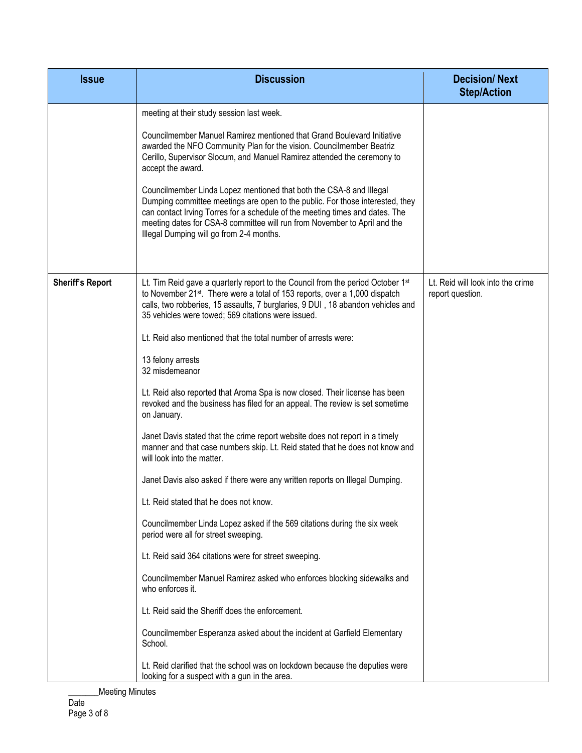| <b>Issue</b>            | <b>Discussion</b>                                                                                                                                                                                                                                                                                                                                                                                                                                                                                                                                                                                                                                                                                                                                                                                                                                                                                                                                                                                                                                                                                                                                                                                                                                                                                                                                                                                                                                                                                   | <b>Decision/Next</b><br><b>Step/Action</b>            |
|-------------------------|-----------------------------------------------------------------------------------------------------------------------------------------------------------------------------------------------------------------------------------------------------------------------------------------------------------------------------------------------------------------------------------------------------------------------------------------------------------------------------------------------------------------------------------------------------------------------------------------------------------------------------------------------------------------------------------------------------------------------------------------------------------------------------------------------------------------------------------------------------------------------------------------------------------------------------------------------------------------------------------------------------------------------------------------------------------------------------------------------------------------------------------------------------------------------------------------------------------------------------------------------------------------------------------------------------------------------------------------------------------------------------------------------------------------------------------------------------------------------------------------------------|-------------------------------------------------------|
|                         | meeting at their study session last week.<br>Councilmember Manuel Ramirez mentioned that Grand Boulevard Initiative<br>awarded the NFO Community Plan for the vision. Councilmember Beatriz<br>Cerillo, Supervisor Slocum, and Manuel Ramirez attended the ceremony to<br>accept the award.<br>Councilmember Linda Lopez mentioned that both the CSA-8 and Illegal<br>Dumping committee meetings are open to the public. For those interested, they<br>can contact Irving Torres for a schedule of the meeting times and dates. The<br>meeting dates for CSA-8 committee will run from November to April and the<br>Illegal Dumping will go from 2-4 months.                                                                                                                                                                                                                                                                                                                                                                                                                                                                                                                                                                                                                                                                                                                                                                                                                                        |                                                       |
| <b>Sheriff's Report</b> | Lt. Tim Reid gave a quarterly report to the Council from the period October 1 <sup>st</sup><br>to November 21 <sup>st</sup> . There were a total of 153 reports, over a 1,000 dispatch<br>calls, two robberies, 15 assaults, 7 burglaries, 9 DUI, 18 abandon vehicles and<br>35 vehicles were towed; 569 citations were issued.<br>Lt. Reid also mentioned that the total number of arrests were:<br>13 felony arrests<br>32 misdemeanor<br>Lt. Reid also reported that Aroma Spa is now closed. Their license has been<br>revoked and the business has filed for an appeal. The review is set sometime<br>on January.<br>Janet Davis stated that the crime report website does not report in a timely<br>manner and that case numbers skip. Lt. Reid stated that he does not know and<br>will look into the matter.<br>Janet Davis also asked if there were any written reports on Illegal Dumping.<br>Lt. Reid stated that he does not know.<br>Councilmember Linda Lopez asked if the 569 citations during the six week<br>period were all for street sweeping.<br>Lt. Reid said 364 citations were for street sweeping.<br>Councilmember Manuel Ramirez asked who enforces blocking sidewalks and<br>who enforces it.<br>Lt. Reid said the Sheriff does the enforcement.<br>Councilmember Esperanza asked about the incident at Garfield Elementary<br>School.<br>Lt. Reid clarified that the school was on lockdown because the deputies were<br>looking for a suspect with a gun in the area. | Lt. Reid will look into the crime<br>report question. |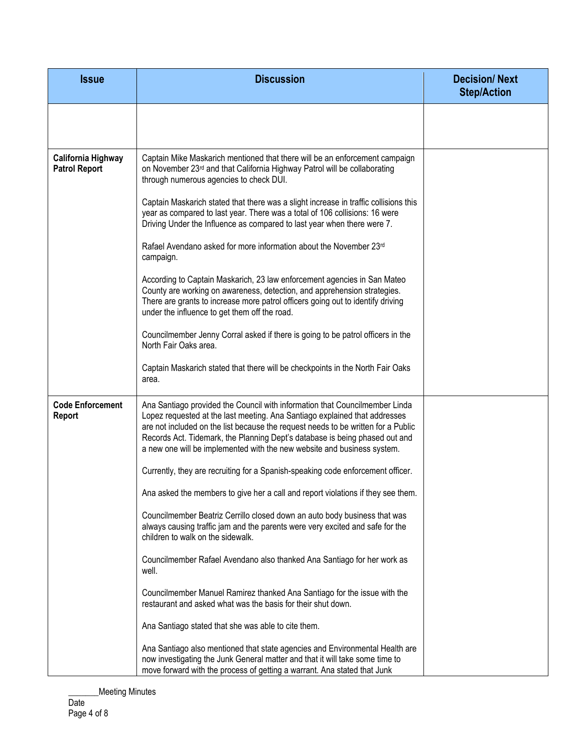| <b>Issue</b>                               | <b>Discussion</b>                                                                                                                                                                                                                                                                                                                                                                                        | <b>Decision/Next</b><br><b>Step/Action</b> |
|--------------------------------------------|----------------------------------------------------------------------------------------------------------------------------------------------------------------------------------------------------------------------------------------------------------------------------------------------------------------------------------------------------------------------------------------------------------|--------------------------------------------|
|                                            |                                                                                                                                                                                                                                                                                                                                                                                                          |                                            |
| California Highway<br><b>Patrol Report</b> | Captain Mike Maskarich mentioned that there will be an enforcement campaign<br>on November 23rd and that California Highway Patrol will be collaborating<br>through numerous agencies to check DUI.                                                                                                                                                                                                      |                                            |
|                                            | Captain Maskarich stated that there was a slight increase in traffic collisions this<br>year as compared to last year. There was a total of 106 collisions: 16 were<br>Driving Under the Influence as compared to last year when there were 7.                                                                                                                                                           |                                            |
|                                            | Rafael Avendano asked for more information about the November 23rd<br>campaign.                                                                                                                                                                                                                                                                                                                          |                                            |
|                                            | According to Captain Maskarich, 23 law enforcement agencies in San Mateo<br>County are working on awareness, detection, and apprehension strategies.<br>There are grants to increase more patrol officers going out to identify driving<br>under the influence to get them off the road.                                                                                                                 |                                            |
|                                            | Councilmember Jenny Corral asked if there is going to be patrol officers in the<br>North Fair Oaks area.                                                                                                                                                                                                                                                                                                 |                                            |
|                                            | Captain Maskarich stated that there will be checkpoints in the North Fair Oaks<br>area.                                                                                                                                                                                                                                                                                                                  |                                            |
| <b>Code Enforcement</b><br><b>Report</b>   | Ana Santiago provided the Council with information that Councilmember Linda<br>Lopez requested at the last meeting. Ana Santiago explained that addresses<br>are not included on the list because the request needs to be written for a Public<br>Records Act. Tidemark, the Planning Dept's database is being phased out and<br>a new one will be implemented with the new website and business system. |                                            |
|                                            | Currently, they are recruiting for a Spanish-speaking code enforcement officer.                                                                                                                                                                                                                                                                                                                          |                                            |
|                                            | Ana asked the members to give her a call and report violations if they see them.                                                                                                                                                                                                                                                                                                                         |                                            |
|                                            | Councilmember Beatriz Cerrillo closed down an auto body business that was<br>always causing traffic jam and the parents were very excited and safe for the<br>children to walk on the sidewalk.                                                                                                                                                                                                          |                                            |
|                                            | Councilmember Rafael Avendano also thanked Ana Santiago for her work as<br>well.                                                                                                                                                                                                                                                                                                                         |                                            |
|                                            | Councilmember Manuel Ramirez thanked Ana Santiago for the issue with the<br>restaurant and asked what was the basis for their shut down.                                                                                                                                                                                                                                                                 |                                            |
|                                            | Ana Santiago stated that she was able to cite them.                                                                                                                                                                                                                                                                                                                                                      |                                            |
|                                            | Ana Santiago also mentioned that state agencies and Environmental Health are<br>now investigating the Junk General matter and that it will take some time to<br>move forward with the process of getting a warrant. Ana stated that Junk                                                                                                                                                                 |                                            |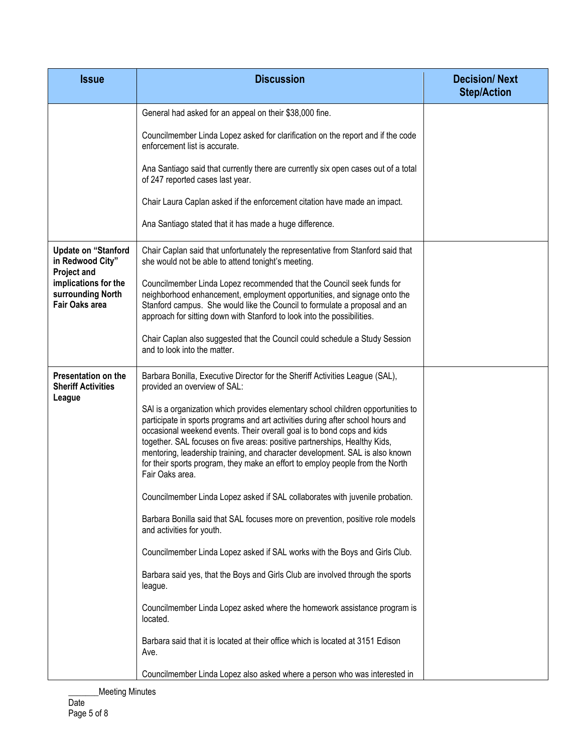| <b>Issue</b>                                                                             | <b>Discussion</b>                                                                                                                                                                                                                                                                                                                                                                                                                                                                                              | <b>Decision/Next</b><br><b>Step/Action</b> |
|------------------------------------------------------------------------------------------|----------------------------------------------------------------------------------------------------------------------------------------------------------------------------------------------------------------------------------------------------------------------------------------------------------------------------------------------------------------------------------------------------------------------------------------------------------------------------------------------------------------|--------------------------------------------|
|                                                                                          | General had asked for an appeal on their \$38,000 fine.                                                                                                                                                                                                                                                                                                                                                                                                                                                        |                                            |
|                                                                                          | Councilmember Linda Lopez asked for clarification on the report and if the code<br>enforcement list is accurate.                                                                                                                                                                                                                                                                                                                                                                                               |                                            |
|                                                                                          | Ana Santiago said that currently there are currently six open cases out of a total<br>of 247 reported cases last year.                                                                                                                                                                                                                                                                                                                                                                                         |                                            |
|                                                                                          | Chair Laura Caplan asked if the enforcement citation have made an impact.                                                                                                                                                                                                                                                                                                                                                                                                                                      |                                            |
|                                                                                          | Ana Santiago stated that it has made a huge difference.                                                                                                                                                                                                                                                                                                                                                                                                                                                        |                                            |
| <b>Update on "Stanford</b><br>in Redwood City"                                           | Chair Caplan said that unfortunately the representative from Stanford said that<br>she would not be able to attend tonight's meeting.                                                                                                                                                                                                                                                                                                                                                                          |                                            |
| <b>Project and</b><br>implications for the<br>surrounding North<br><b>Fair Oaks area</b> | Councilmember Linda Lopez recommended that the Council seek funds for<br>neighborhood enhancement, employment opportunities, and signage onto the<br>Stanford campus. She would like the Council to formulate a proposal and an<br>approach for sitting down with Stanford to look into the possibilities.                                                                                                                                                                                                     |                                            |
|                                                                                          | Chair Caplan also suggested that the Council could schedule a Study Session<br>and to look into the matter.                                                                                                                                                                                                                                                                                                                                                                                                    |                                            |
| Presentation on the<br><b>Sheriff Activities</b><br>League                               | Barbara Bonilla, Executive Director for the Sheriff Activities League (SAL),<br>provided an overview of SAL:                                                                                                                                                                                                                                                                                                                                                                                                   |                                            |
|                                                                                          | SAI is a organization which provides elementary school children opportunities to<br>participate in sports programs and art activities during after school hours and<br>occasional weekend events. Their overall goal is to bond cops and kids<br>together. SAL focuses on five areas: positive partnerships, Healthy Kids,<br>mentoring, leadership training, and character development. SAL is also known<br>for their sports program, they make an effort to employ people from the North<br>Fair Oaks area. |                                            |
|                                                                                          | Councilmember Linda Lopez asked if SAL collaborates with juvenile probation.                                                                                                                                                                                                                                                                                                                                                                                                                                   |                                            |
|                                                                                          | Barbara Bonilla said that SAL focuses more on prevention, positive role models<br>and activities for youth.                                                                                                                                                                                                                                                                                                                                                                                                    |                                            |
|                                                                                          | Councilmember Linda Lopez asked if SAL works with the Boys and Girls Club.                                                                                                                                                                                                                                                                                                                                                                                                                                     |                                            |
|                                                                                          | Barbara said yes, that the Boys and Girls Club are involved through the sports<br>league.                                                                                                                                                                                                                                                                                                                                                                                                                      |                                            |
|                                                                                          | Councilmember Linda Lopez asked where the homework assistance program is<br>located.                                                                                                                                                                                                                                                                                                                                                                                                                           |                                            |
|                                                                                          | Barbara said that it is located at their office which is located at 3151 Edison<br>Ave.                                                                                                                                                                                                                                                                                                                                                                                                                        |                                            |
|                                                                                          | Councilmember Linda Lopez also asked where a person who was interested in                                                                                                                                                                                                                                                                                                                                                                                                                                      |                                            |

\_\_\_\_\_\_\_Meeting Minutes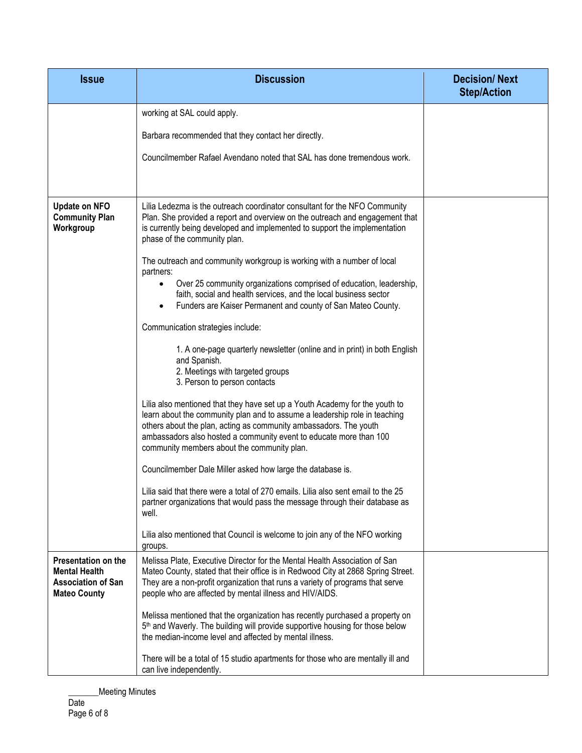| <b>Issue</b>                                                                                    | <b>Discussion</b>                                                                                                                                                                                                                                                                                                                                   | <b>Decision/Next</b><br><b>Step/Action</b> |
|-------------------------------------------------------------------------------------------------|-----------------------------------------------------------------------------------------------------------------------------------------------------------------------------------------------------------------------------------------------------------------------------------------------------------------------------------------------------|--------------------------------------------|
|                                                                                                 | working at SAL could apply.                                                                                                                                                                                                                                                                                                                         |                                            |
|                                                                                                 | Barbara recommended that they contact her directly.                                                                                                                                                                                                                                                                                                 |                                            |
|                                                                                                 | Councilmember Rafael Avendano noted that SAL has done tremendous work.                                                                                                                                                                                                                                                                              |                                            |
|                                                                                                 |                                                                                                                                                                                                                                                                                                                                                     |                                            |
| <b>Update on NFO</b><br><b>Community Plan</b><br>Workgroup                                      | Lilia Ledezma is the outreach coordinator consultant for the NFO Community<br>Plan. She provided a report and overview on the outreach and engagement that<br>is currently being developed and implemented to support the implementation<br>phase of the community plan.                                                                            |                                            |
|                                                                                                 | The outreach and community workgroup is working with a number of local                                                                                                                                                                                                                                                                              |                                            |
|                                                                                                 | partners:<br>Over 25 community organizations comprised of education, leadership,<br>faith, social and health services, and the local business sector<br>Funders are Kaiser Permanent and county of San Mateo County.                                                                                                                                |                                            |
|                                                                                                 | Communication strategies include:                                                                                                                                                                                                                                                                                                                   |                                            |
|                                                                                                 | 1. A one-page quarterly newsletter (online and in print) in both English<br>and Spanish.<br>2. Meetings with targeted groups<br>3. Person to person contacts                                                                                                                                                                                        |                                            |
|                                                                                                 | Lilia also mentioned that they have set up a Youth Academy for the youth to<br>learn about the community plan and to assume a leadership role in teaching<br>others about the plan, acting as community ambassadors. The youth<br>ambassadors also hosted a community event to educate more than 100<br>community members about the community plan. |                                            |
|                                                                                                 | Councilmember Dale Miller asked how large the database is.                                                                                                                                                                                                                                                                                          |                                            |
|                                                                                                 | Lilia said that there were a total of 270 emails. Lilia also sent email to the 25<br>partner organizations that would pass the message through their database as<br>well.                                                                                                                                                                           |                                            |
|                                                                                                 | Lilia also mentioned that Council is welcome to join any of the NFO working<br>groups.                                                                                                                                                                                                                                                              |                                            |
| Presentation on the<br><b>Mental Health</b><br><b>Association of San</b><br><b>Mateo County</b> | Melissa Plate, Executive Director for the Mental Health Association of San<br>Mateo County, stated that their office is in Redwood City at 2868 Spring Street.<br>They are a non-profit organization that runs a variety of programs that serve<br>people who are affected by mental illness and HIV/AIDS.                                          |                                            |
|                                                                                                 | Melissa mentioned that the organization has recently purchased a property on<br>5 <sup>th</sup> and Waverly. The building will provide supportive housing for those below<br>the median-income level and affected by mental illness.                                                                                                                |                                            |
|                                                                                                 | There will be a total of 15 studio apartments for those who are mentally ill and<br>can live independently.                                                                                                                                                                                                                                         |                                            |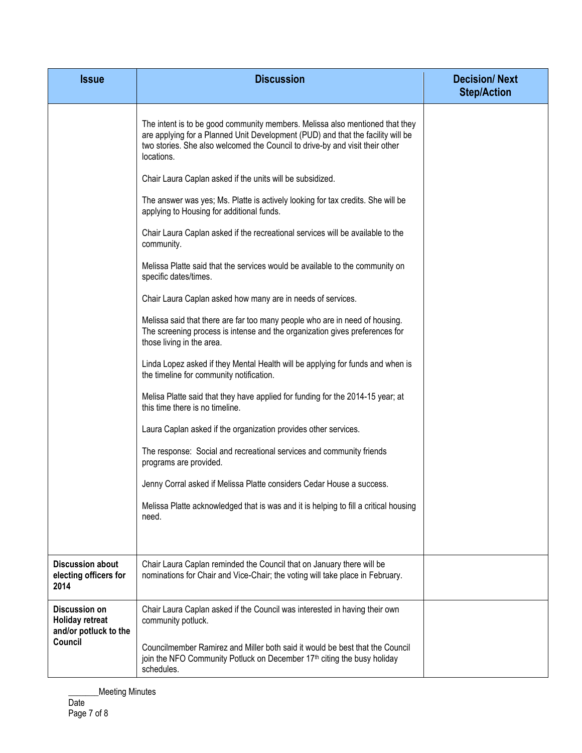| <b>Issue</b>                                                            | <b>Discussion</b>                                                                                                                                                                                                                                             | <b>Decision/Next</b><br><b>Step/Action</b> |
|-------------------------------------------------------------------------|---------------------------------------------------------------------------------------------------------------------------------------------------------------------------------------------------------------------------------------------------------------|--------------------------------------------|
|                                                                         | The intent is to be good community members. Melissa also mentioned that they<br>are applying for a Planned Unit Development (PUD) and that the facility will be<br>two stories. She also welcomed the Council to drive-by and visit their other<br>locations. |                                            |
|                                                                         | Chair Laura Caplan asked if the units will be subsidized.                                                                                                                                                                                                     |                                            |
|                                                                         | The answer was yes; Ms. Platte is actively looking for tax credits. She will be<br>applying to Housing for additional funds.                                                                                                                                  |                                            |
|                                                                         | Chair Laura Caplan asked if the recreational services will be available to the<br>community.                                                                                                                                                                  |                                            |
|                                                                         | Melissa Platte said that the services would be available to the community on<br>specific dates/times.                                                                                                                                                         |                                            |
|                                                                         | Chair Laura Caplan asked how many are in needs of services.                                                                                                                                                                                                   |                                            |
|                                                                         | Melissa said that there are far too many people who are in need of housing.<br>The screening process is intense and the organization gives preferences for<br>those living in the area.                                                                       |                                            |
|                                                                         | Linda Lopez asked if they Mental Health will be applying for funds and when is<br>the timeline for community notification.                                                                                                                                    |                                            |
|                                                                         | Melisa Platte said that they have applied for funding for the 2014-15 year; at<br>this time there is no timeline.                                                                                                                                             |                                            |
|                                                                         | Laura Caplan asked if the organization provides other services.                                                                                                                                                                                               |                                            |
|                                                                         | The response: Social and recreational services and community friends<br>programs are provided.                                                                                                                                                                |                                            |
|                                                                         | Jenny Corral asked if Melissa Platte considers Cedar House a success.                                                                                                                                                                                         |                                            |
|                                                                         | Melissa Platte acknowledged that is was and it is helping to fill a critical housing<br>need.                                                                                                                                                                 |                                            |
| <b>Discussion about</b>                                                 | Chair Laura Caplan reminded the Council that on January there will be                                                                                                                                                                                         |                                            |
| electing officers for<br>2014                                           | nominations for Chair and Vice-Chair; the voting will take place in February.                                                                                                                                                                                 |                                            |
| <b>Discussion on</b><br><b>Holiday retreat</b><br>and/or potluck to the | Chair Laura Caplan asked if the Council was interested in having their own<br>community potluck.                                                                                                                                                              |                                            |
| Council                                                                 | Councilmember Ramirez and Miller both said it would be best that the Council<br>join the NFO Community Potluck on December 17 <sup>th</sup> citing the busy holiday<br>schedules.                                                                             |                                            |